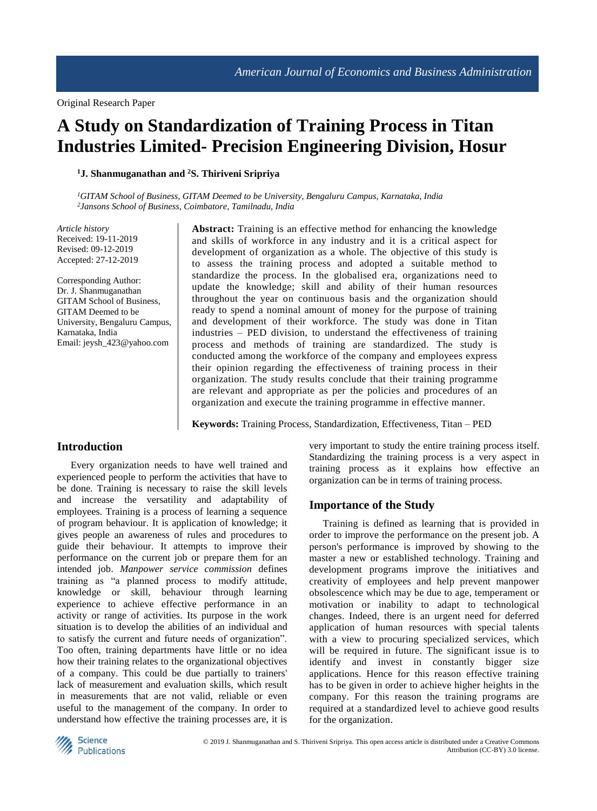# **A Study on Standardization of Training Process in Titan Industries Limited- Precision Engineering Division, Hosur**

**<sup>1</sup>J. Shanmuganathan and <sup>2</sup>S. Thiriveni Sripriya** 

*<sup>1</sup>GITAM School of Business, GITAM Deemed to be University, Bengaluru Campus, Karnataka, India 2 Jansons School of Business, Coimbatore, Tamilnadu, India*

*Article history* Received: 19-11-2019 Revised: 09-12-2019 Accepted: 27-12-2019

Corresponding Author: Dr. J. Shanmuganathan GITAM School of Business, GITAM Deemed to be University, Bengaluru Campus, Karnataka, India Email: jeysh\_423@yahoo.com

**Abstract:** Training is an effective method for enhancing the knowledge and skills of workforce in any industry and it is a critical aspect for development of organization as a whole. The objective of this study is to assess the training process and adopted a suitable method to standardize the process. In the globalised era, organizations need to update the knowledge; skill and ability of their human resources throughout the year on continuous basis and the organization should ready to spend a nominal amount of money for the purpose of training and development of their workforce. The study was done in Titan industries – PED division, to understand the effectiveness of training process and methods of training are standardized. The study is conducted among the workforce of the company and employees express their opinion regarding the effectiveness of training process in their organization. The study results conclude that their training programme are relevant and appropriate as per the policies and procedures of an organization and execute the training programme in effective manner.

**Keywords:** Training Process, Standardization, Effectiveness, Titan – PED

## **Introduction**

Every organization needs to have well trained and experienced people to perform the activities that have to be done. Training is necessary to raise the skill levels and increase the versatility and adaptability of employees. Training is a process of learning a sequence of program behaviour. It is application of knowledge; it gives people an awareness of rules and procedures to guide their behaviour. It attempts to improve their performance on the current job or prepare them for an intended job. *Manpower service commission* defines training as "a planned process to modify attitude, knowledge or skill, behaviour through learning experience to achieve effective performance in an activity or range of activities. Its purpose in the work situation is to develop the abilities of an individual and to satisfy the current and future needs of organization". Too often, training departments have little or no idea how their training relates to the organizational objectives of a company. This could be due partially to trainers' lack of measurement and evaluation skills, which result in measurements that are not valid, reliable or even useful to the management of the company. In order to understand how effective the training processes are, it is very important to study the entire training process itself. Standardizing the training process is a very aspect in training process as it explains how effective an organization can be in terms of training process.

## **Importance of the Study**

Training is defined as learning that is provided in order to improve the performance on the present job. A person's performance is improved by showing to the master a new or established technology. Training and development programs improve the initiatives and creativity of employees and help prevent manpower obsolescence which may be due to age, temperament or motivation or inability to adapt to technological changes. Indeed, there is an urgent need for deferred application of human resources with special talents with a view to procuring specialized services, which will be required in future. The significant issue is to identify and invest in constantly bigger size applications. Hence for this reason effective training has to be given in order to achieve higher heights in the company. For this reason the training programs are required at a standardized level to achieve good results for the organization.

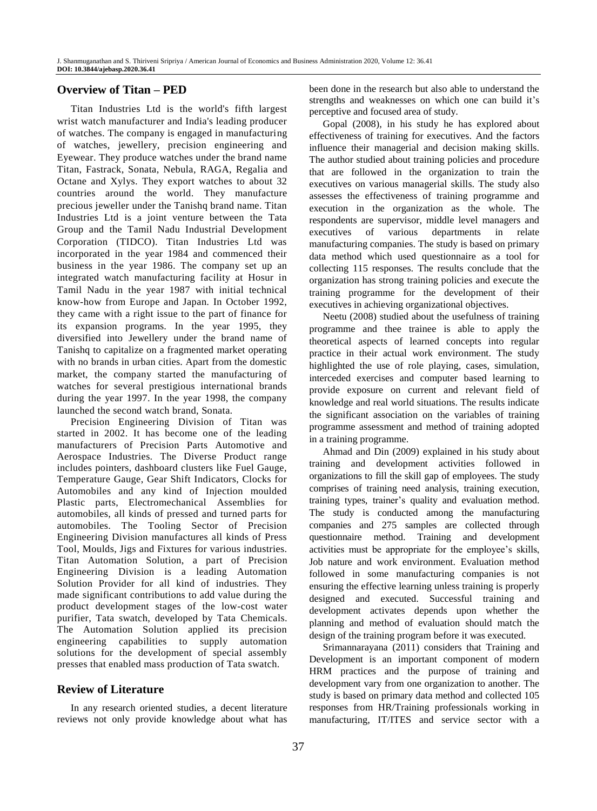# **Overview of Titan – PED**

Titan Industries Ltd is the world's fifth largest wrist watch manufacturer and India's leading producer of watches. The company is engaged in manufacturing of watches, jewellery, precision engineering and Eyewear. They produce watches under the brand name Titan, Fastrack, Sonata, Nebula, RAGA, Regalia and Octane and Xylys. They export watches to about 32 countries around the world. They manufacture precious jeweller under the Tanishq brand name. Titan Industries Ltd is a joint venture between the Tata Group and the Tamil Nadu Industrial Development Corporation (TIDCO). Titan Industries Ltd was incorporated in the year 1984 and commenced their business in the year 1986. The company set up an integrated watch manufacturing facility at Hosur in Tamil Nadu in the year 1987 with initial technical know-how from Europe and Japan. In October 1992, they came with a right issue to the part of finance for its expansion programs. In the year 1995, they diversified into Jewellery under the brand name of Tanishq to capitalize on a fragmented market operating with no brands in urban cities. Apart from the domestic market, the company started the manufacturing of watches for several prestigious international brands during the year 1997. In the year 1998, the company launched the second watch brand, Sonata.

Precision Engineering Division of Titan was started in 2002. It has become one of the leading manufacturers of Precision Parts Automotive and Aerospace Industries. The Diverse Product range includes pointers, dashboard clusters like Fuel Gauge, Temperature Gauge, Gear Shift Indicators, Clocks for Automobiles and any kind of Injection moulded Plastic parts, Electromechanical Assemblies for automobiles, all kinds of pressed and turned parts for automobiles. The Tooling Sector of Precision Engineering Division manufactures all kinds of Press Tool, Moulds, Jigs and Fixtures for various industries. Titan Automation Solution, a part of Precision Engineering Division is a leading Automation Solution Provider for all kind of industries. They made significant contributions to add value during the product development stages of the low-cost water purifier, Tata swatch, developed by Tata Chemicals. The Automation Solution applied its precision engineering capabilities to supply automation solutions for the development of special assembly presses that enabled mass production of Tata swatch.

## **Review of Literature**

In any research oriented studies, a decent literature reviews not only provide knowledge about what has been done in the research but also able to understand the strengths and weaknesses on which one can build it's perceptive and focused area of study.

Gopal (2008), in his study he has explored about effectiveness of training for executives. And the factors influence their managerial and decision making skills. The author studied about training policies and procedure that are followed in the organization to train the executives on various managerial skills. The study also assesses the effectiveness of training programme and execution in the organization as the whole. The respondents are supervisor, middle level managers and executives of various departments in relate manufacturing companies. The study is based on primary data method which used questionnaire as a tool for collecting 115 responses. The results conclude that the organization has strong training policies and execute the training programme for the development of their executives in achieving organizational objectives.

Neetu (2008) studied about the usefulness of training programme and thee trainee is able to apply the theoretical aspects of learned concepts into regular practice in their actual work environment. The study highlighted the use of role playing, cases, simulation, interceded exercises and computer based learning to provide exposure on current and relevant field of knowledge and real world situations. The results indicate the significant association on the variables of training programme assessment and method of training adopted in a training programme.

Ahmad and Din (2009) explained in his study about training and development activities followed in organizations to fill the skill gap of employees. The study comprises of training need analysis, training execution, training types, trainer's quality and evaluation method. The study is conducted among the manufacturing companies and 275 samples are collected through questionnaire method. Training and development activities must be appropriate for the employee's skills, Job nature and work environment. Evaluation method followed in some manufacturing companies is not ensuring the effective learning unless training is properly designed and executed. Successful training and development activates depends upon whether the planning and method of evaluation should match the design of the training program before it was executed.

Srimannarayana (2011) considers that Training and Development is an important component of modern HRM practices and the purpose of training and development vary from one organization to another. The study is based on primary data method and collected 105 responses from HR/Training professionals working in manufacturing, IT/ITES and service sector with a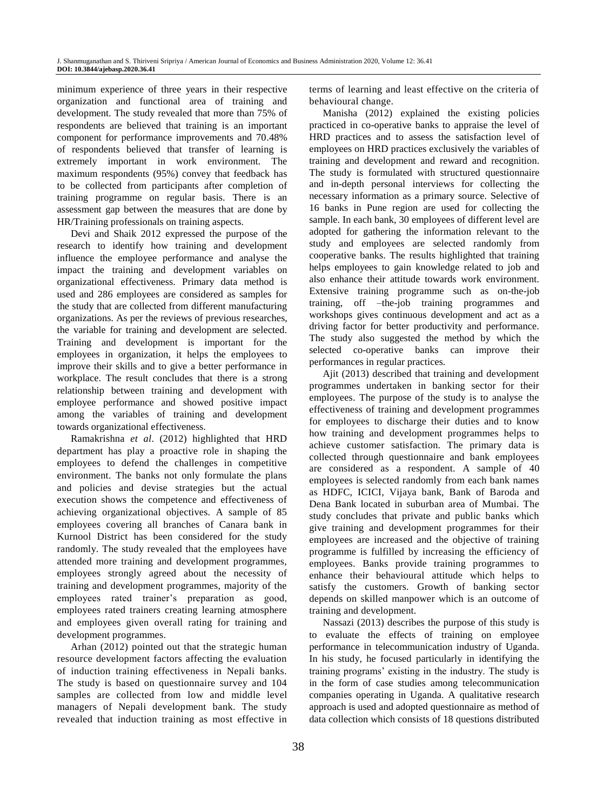minimum experience of three years in their respective organization and functional area of training and development. The study revealed that more than 75% of respondents are believed that training is an important component for performance improvements and 70.48% of respondents believed that transfer of learning is extremely important in work environment. The maximum respondents (95%) convey that feedback has to be collected from participants after completion of training programme on regular basis. There is an assessment gap between the measures that are done by HR/Training professionals on training aspects.

Devi and Shaik 2012 expressed the purpose of the research to identify how training and development influence the employee performance and analyse the impact the training and development variables on organizational effectiveness. Primary data method is used and 286 employees are considered as samples for the study that are collected from different manufacturing organizations. As per the reviews of previous researches, the variable for training and development are selected. Training and development is important for the employees in organization, it helps the employees to improve their skills and to give a better performance in workplace. The result concludes that there is a strong relationship between training and development with employee performance and showed positive impact among the variables of training and development towards organizational effectiveness.

Ramakrishna *et al*. (2012) highlighted that HRD department has play a proactive role in shaping the employees to defend the challenges in competitive environment. The banks not only formulate the plans and policies and devise strategies but the actual execution shows the competence and effectiveness of achieving organizational objectives. A sample of 85 employees covering all branches of Canara bank in Kurnool District has been considered for the study randomly. The study revealed that the employees have attended more training and development programmes, employees strongly agreed about the necessity of training and development programmes, majority of the employees rated trainer's preparation as good, employees rated trainers creating learning atmosphere and employees given overall rating for training and development programmes.

Arhan (2012) pointed out that the strategic human resource development factors affecting the evaluation of induction training effectiveness in Nepali banks. The study is based on questionnaire survey and 104 samples are collected from low and middle level managers of Nepali development bank. The study revealed that induction training as most effective in terms of learning and least effective on the criteria of behavioural change.

Manisha (2012) explained the existing policies practiced in co-operative banks to appraise the level of HRD practices and to assess the satisfaction level of employees on HRD practices exclusively the variables of training and development and reward and recognition. The study is formulated with structured questionnaire and in-depth personal interviews for collecting the necessary information as a primary source. Selective of 16 banks in Pune region are used for collecting the sample. In each bank, 30 employees of different level are adopted for gathering the information relevant to the study and employees are selected randomly from cooperative banks. The results highlighted that training helps employees to gain knowledge related to job and also enhance their attitude towards work environment. Extensive training programme such as on-the-job training, off –the-job training programmes and workshops gives continuous development and act as a driving factor for better productivity and performance. The study also suggested the method by which the selected co-operative banks can improve their performances in regular practices.

Ajit (2013) described that training and development programmes undertaken in banking sector for their employees. The purpose of the study is to analyse the effectiveness of training and development programmes for employees to discharge their duties and to know how training and development programmes helps to achieve customer satisfaction. The primary data is collected through questionnaire and bank employees are considered as a respondent. A sample of 40 employees is selected randomly from each bank names as HDFC, ICICI, Vijaya bank, Bank of Baroda and Dena Bank located in suburban area of Mumbai. The study concludes that private and public banks which give training and development programmes for their employees are increased and the objective of training programme is fulfilled by increasing the efficiency of employees. Banks provide training programmes to enhance their behavioural attitude which helps to satisfy the customers. Growth of banking sector depends on skilled manpower which is an outcome of training and development.

Nassazi (2013) describes the purpose of this study is to evaluate the effects of training on employee performance in telecommunication industry of Uganda. In his study, he focused particularly in identifying the training programs' existing in the industry. The study is in the form of case studies among telecommunication companies operating in Uganda. A qualitative research approach is used and adopted questionnaire as method of data collection which consists of 18 questions distributed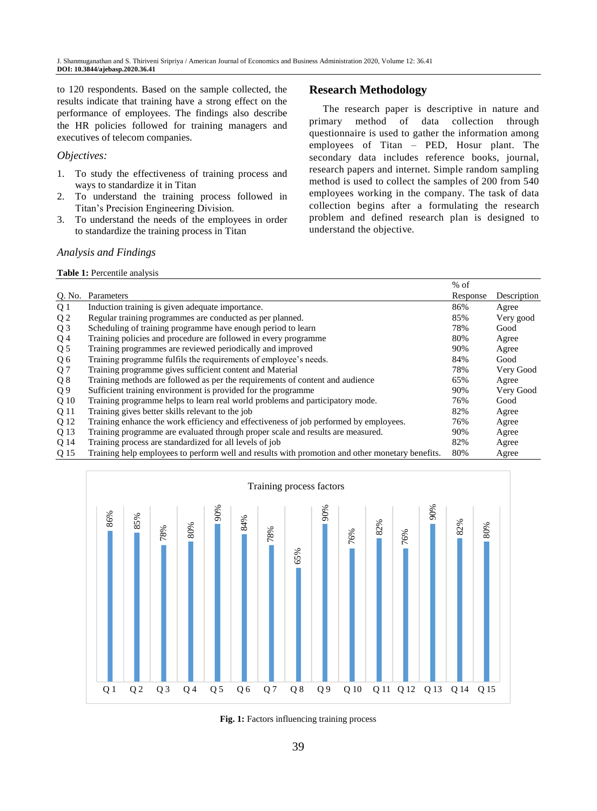to 120 respondents. Based on the sample collected, the results indicate that training have a strong effect on the performance of employees. The findings also describe the HR policies followed for training managers and executives of telecom companies.

#### *Objectives:*

- 1. To study the effectiveness of training process and ways to standardize it in Titan
- 2. To understand the training process followed in Titan's Precision Engineering Division.
- 3. To understand the needs of the employees in order to standardize the training process in Titan

## **Research Methodology**

The research paper is descriptive in nature and primary method of data collection through questionnaire is used to gather the information among employees of Titan – PED, Hosur plant. The secondary data includes reference books, journal, research papers and internet. Simple random sampling method is used to collect the samples of 200 from 540 employees working in the company. The task of data collection begins after a formulating the research problem and defined research plan is designed to understand the objective.

## *Analysis and Findings*

**Table 1:** Percentile analysis

|                |                                                                                                 | $%$ of   |             |
|----------------|-------------------------------------------------------------------------------------------------|----------|-------------|
| Q. No.         | Parameters                                                                                      | Response | Description |
| Q 1            | Induction training is given adequate importance.                                                | 86%      | Agree       |
| Q <sub>2</sub> | Regular training programmes are conducted as per planned.                                       | 85%      | Very good   |
| Q <sub>3</sub> | Scheduling of training programme have enough period to learn                                    | 78%      | Good        |
| Q4             | Training policies and procedure are followed in every programme                                 | 80%      | Agree       |
| Q <sub>5</sub> | Training programmes are reviewed periodically and improved                                      | 90%      | Agree       |
| Q6             | Training programme fulfils the requirements of employee's needs.                                | 84%      | Good        |
| Q <sub>7</sub> | Training programme gives sufficient content and Material                                        | 78%      | Very Good   |
| Q8             | Training methods are followed as per the requirements of content and audience                   | 65%      | Agree       |
| Q <sub>9</sub> | Sufficient training environment is provided for the programme                                   | 90%      | Very Good   |
| Q 10           | Training programme helps to learn real world problems and participatory mode.                   | 76%      | Good        |
| Q 11           | Training gives better skills relevant to the job                                                | 82%      | Agree       |
| Q 12           | Training enhance the work efficiency and effectiveness of job performed by employees.           | 76%      | Agree       |
| Q 13           | Training programme are evaluated through proper scale and results are measured.                 | 90%      | Agree       |
| O 14           | Training process are standardized for all levels of job                                         | 82%      | Agree       |
| Q 15           | Training help employees to perform well and results with promotion and other monetary benefits. | 80%      | Agree       |



**Fig. 1:** Factors influencing training process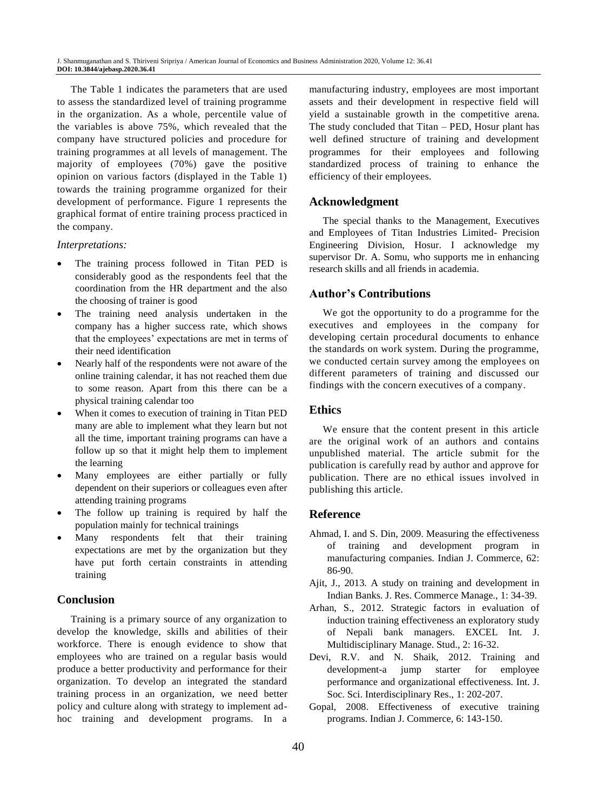The Table 1 indicates the parameters that are used to assess the standardized level of training programme in the organization. As a whole, percentile value of the variables is above 75%, which revealed that the company have structured policies and procedure for training programmes at all levels of management. The majority of employees (70%) gave the positive opinion on various factors (displayed in the Table 1) towards the training programme organized for their development of performance. Figure 1 represents the graphical format of entire training process practiced in the company.

#### *Interpretations:*

- The training process followed in Titan PED is considerably good as the respondents feel that the coordination from the HR department and the also the choosing of trainer is good
- The training need analysis undertaken in the company has a higher success rate, which shows that the employees' expectations are met in terms of their need identification
- Nearly half of the respondents were not aware of the online training calendar, it has not reached them due to some reason. Apart from this there can be a physical training calendar too
- When it comes to execution of training in Titan PED many are able to implement what they learn but not all the time, important training programs can have a follow up so that it might help them to implement the learning
- Many employees are either partially or fully dependent on their superiors or colleagues even after attending training programs
- The follow up training is required by half the population mainly for technical trainings
- Many respondents felt that their training expectations are met by the organization but they have put forth certain constraints in attending training

## **Conclusion**

Training is a primary source of any organization to develop the knowledge, skills and abilities of their workforce. There is enough evidence to show that employees who are trained on a regular basis would produce a better productivity and performance for their organization. To develop an integrated the standard training process in an organization, we need better policy and culture along with strategy to implement adhoc training and development programs. In a

manufacturing industry, employees are most important assets and their development in respective field will yield a sustainable growth in the competitive arena. The study concluded that Titan – PED, Hosur plant has well defined structure of training and development programmes for their employees and following standardized process of training to enhance the efficiency of their employees.

#### **Acknowledgment**

The special thanks to the Management, Executives and Employees of Titan Industries Limited- Precision Engineering Division, Hosur. I acknowledge my supervisor Dr. A. Somu, who supports me in enhancing research skills and all friends in academia.

## **Author's Contributions**

We got the opportunity to do a programme for the executives and employees in the company for developing certain procedural documents to enhance the standards on work system. During the programme, we conducted certain survey among the employees on different parameters of training and discussed our findings with the concern executives of a company.

# **Ethics**

We ensure that the content present in this article are the original work of an authors and contains unpublished material. The article submit for the publication is carefully read by author and approve for publication. There are no ethical issues involved in publishing this article.

## **Reference**

- Ahmad, I. and S. Din, 2009. Measuring the effectiveness of training and development program in manufacturing companies. Indian J. Commerce, 62: 86-90.
- Ajit, J., 2013. A study on training and development in Indian Banks. J. Res. Commerce Manage., 1: 34-39.
- Arhan, S., 2012. Strategic factors in evaluation of induction training effectiveness an exploratory study of Nepali bank managers. EXCEL Int. J. Multidisciplinary Manage. Stud., 2: 16-32.
- Devi, R.V. and N. Shaik, 2012. Training and development-a jump starter for employee performance and organizational effectiveness. Int. J. Soc. Sci. Interdisciplinary Res., 1: 202-207.
- Gopal, 2008. Effectiveness of executive training programs. Indian J. Commerce, 6: 143-150.